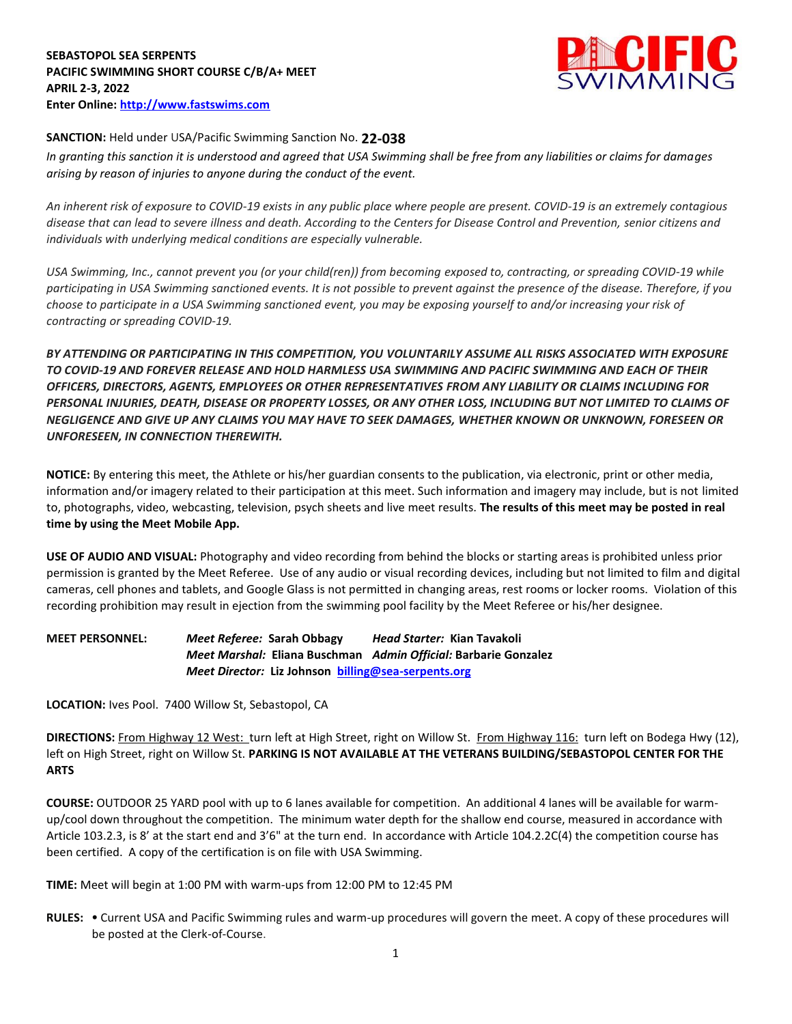

## **SANCTION:** Held under USA/Pacific Swimming Sanction No. **22-038**

*In granting this sanction it is understood and agreed that USA Swimming shall be free from any liabilities or claims for damages arising by reason of injuries to anyone during the conduct of the event.* 

*An inherent risk of exposure to COVID-19 exists in any public place where people are present. COVID-19 is an extremely contagious disease that can lead to severe illness and death. According to the Centers for Disease Control and Prevention, senior citizens and individuals with underlying medical conditions are especially vulnerable.*

*USA Swimming, Inc., cannot prevent you (or your child(ren)) from becoming exposed to, contracting, or spreading COVID-19 while participating in USA Swimming sanctioned events. It is not possible to prevent against the presence of the disease. Therefore, if you choose to participate in a USA Swimming sanctioned event, you may be exposing yourself to and/or increasing your risk of contracting or spreading COVID-19.*

*BY ATTENDING OR PARTICIPATING IN THIS COMPETITION, YOU VOLUNTARILY ASSUME ALL RISKS ASSOCIATED WITH EXPOSURE TO COVID-19 AND FOREVER RELEASE AND HOLD HARMLESS USA SWIMMING AND PACIFIC SWIMMING AND EACH OF THEIR OFFICERS, DIRECTORS, AGENTS, EMPLOYEES OR OTHER REPRESENTATIVES FROM ANY LIABILITY OR CLAIMS INCLUDING FOR PERSONAL INJURIES, DEATH, DISEASE OR PROPERTY LOSSES, OR ANY OTHER LOSS, INCLUDING BUT NOT LIMITED TO CLAIMS OF NEGLIGENCE AND GIVE UP ANY CLAIMS YOU MAY HAVE TO SEEK DAMAGES, WHETHER KNOWN OR UNKNOWN, FORESEEN OR UNFORESEEN, IN CONNECTION THEREWITH.*

**NOTICE:** By entering this meet, the Athlete or his/her guardian consents to the publication, via electronic, print or other media, information and/or imagery related to their participation at this meet. Such information and imagery may include, but is not limited to, photographs, video, webcasting, television, psych sheets and live meet results. **The results of this meet may be posted in real time by using the Meet Mobile App.** 

**USE OF AUDIO AND VISUAL:** Photography and video recording from behind the blocks or starting areas is prohibited unless prior permission is granted by the Meet Referee. Use of any audio or visual recording devices, including but not limited to film and digital cameras, cell phones and tablets, and Google Glass is not permitted in changing areas, rest rooms or locker rooms. Violation of this recording prohibition may result in ejection from the swimming pool facility by the Meet Referee or his/her designee.

**MEET PERSONNEL:** *Meet Referee:* **Sarah Obbagy** *Head Starter:* **Kian Tavakoli** *Meet Marshal:* **Eliana Buschman** *Admin Official:* **Barbarie Gonzalez** *Meet Director:* **Liz Johnson [billing@sea-serpents.org](mailto:billing@sea-serpents.org)**

**LOCATION:** Ives Pool. 7400 Willow St, Sebastopol, CA

**DIRECTIONS:** From Highway 12 West: turn left at High Street, right on Willow St. From Highway 116: turn left on Bodega Hwy (12), left on High Street, right on Willow St. **PARKING IS NOT AVAILABLE AT THE VETERANS BUILDING/SEBASTOPOL CENTER FOR THE ARTS**

**COURSE:** OUTDOOR 25 YARD pool with up to 6 lanes available for competition. An additional 4 lanes will be available for warmup/cool down throughout the competition. The minimum water depth for the shallow end course, measured in accordance with Article 103.2.3, is 8' at the start end and 3'6" at the turn end. In accordance with Article 104.2.2C(4) the competition course has been certified. A copy of the certification is on file with USA Swimming.

**TIME:** Meet will begin at 1:00 PM with warm-ups from 12:00 PM to 12:45 PM

**RULES: •** Current USA and Pacific Swimming rules and warm-up procedures will govern the meet. A copy of these procedures will be posted at the Clerk-of-Course.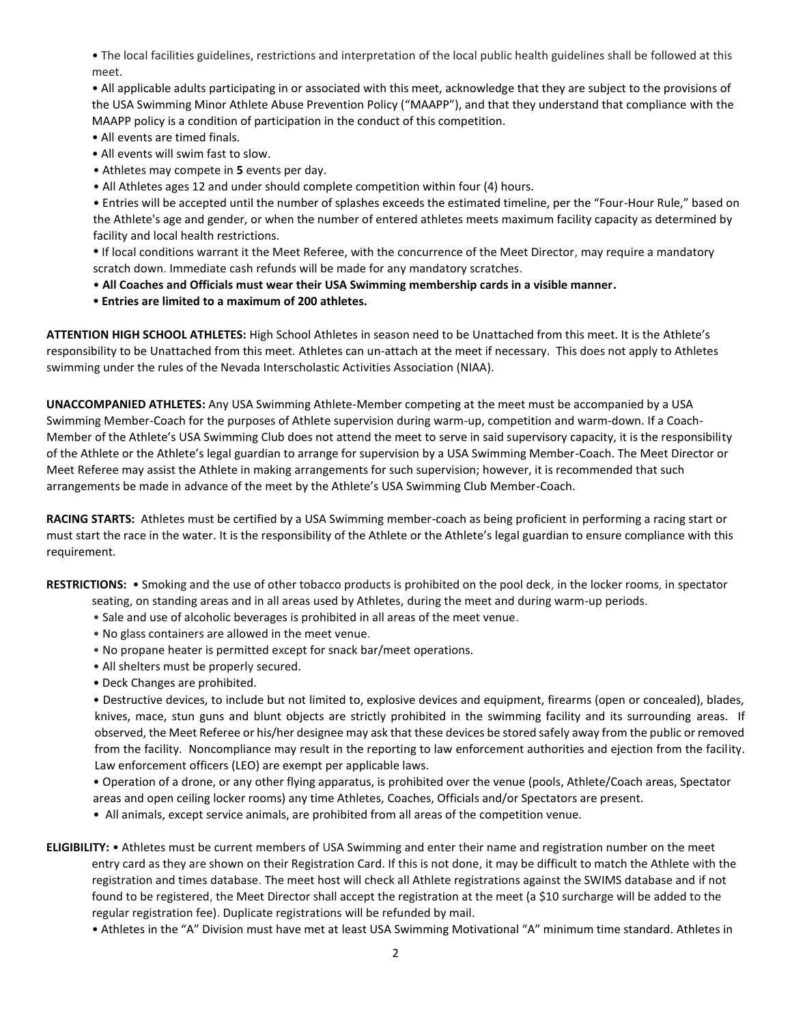• The local facilities guidelines, restrictions and interpretation of the local public health guidelines shall be followed at this meet.

• All applicable adults participating in or associated with this meet, acknowledge that they are subject to the provisions of the USA Swimming Minor Athlete Abuse Prevention Policy ("MAAPP"), and that they understand that compliance with the MAAPP policy is a condition of participation in the conduct of this competition.

- All events are timed finals.
- All events will swim fast to slow.
- Athletes may compete in **5** events per day.
- All Athletes ages 12 and under should complete competition within four (4) hours.

• Entries will be accepted until the number of splashes exceeds the estimated timeline, per the "Four-Hour Rule," based on the Athlete's age and gender, or when the number of entered athletes meets maximum facility capacity as determined by facility and local health restrictions.

**•** If local conditions warrant it the Meet Referee, with the concurrence of the Meet Director, may require a mandatory scratch down. Immediate cash refunds will be made for any mandatory scratches.

- **All Coaches and Officials must wear their USA Swimming membership cards in a visible manner.**
- **• Entries are limited to a maximum of 200 athletes.**

**ATTENTION HIGH SCHOOL ATHLETES:** High School Athletes in season need to be Unattached from this meet. It is the Athlete's responsibility to be Unattached from this meet. Athletes can un-attach at the meet if necessary. This does not apply to Athletes swimming under the rules of the Nevada Interscholastic Activities Association (NIAA).

**UNACCOMPANIED ATHLETES:** Any USA Swimming Athlete-Member competing at the meet must be accompanied by a USA Swimming Member-Coach for the purposes of Athlete supervision during warm-up, competition and warm-down. If a Coach-Member of the Athlete's USA Swimming Club does not attend the meet to serve in said supervisory capacity, it is the responsibility of the Athlete or the Athlete's legal guardian to arrange for supervision by a USA Swimming Member-Coach. The Meet Director or Meet Referee may assist the Athlete in making arrangements for such supervision; however, it is recommended that such arrangements be made in advance of the meet by the Athlete's USA Swimming Club Member-Coach.

**RACING STARTS:** Athletes must be certified by a USA Swimming member-coach as being proficient in performing a racing start or must start the race in the water. It is the responsibility of the Athlete or the Athlete's legal guardian to ensure compliance with this requirement.

**RESTRICTIONS:** • Smoking and the use of other tobacco products is prohibited on the pool deck, in the locker rooms, in spectator seating, on standing areas and in all areas used by Athletes, during the meet and during warm-up periods.

- Sale and use of alcoholic beverages is prohibited in all areas of the meet venue.
- No glass containers are allowed in the meet venue.
- No propane heater is permitted except for snack bar/meet operations.
- All shelters must be properly secured.
- Deck Changes are prohibited.

• Destructive devices, to include but not limited to, explosive devices and equipment, firearms (open or concealed), blades, knives, mace, stun guns and blunt objects are strictly prohibited in the swimming facility and its surrounding areas. If observed, the Meet Referee or his/her designee may ask that these devices be stored safely away from the public or removed from the facility. Noncompliance may result in the reporting to law enforcement authorities and ejection from the facility. Law enforcement officers (LEO) are exempt per applicable laws.

• Operation of a drone, or any other flying apparatus, is prohibited over the venue (pools, Athlete/Coach areas, Spectator areas and open ceiling locker rooms) any time Athletes, Coaches, Officials and/or Spectators are present.

• All animals, except service animals, are prohibited from all areas of the competition venue.

**ELIGIBILITY:** • Athletes must be current members of USA Swimming and enter their name and registration number on the meet entry card as they are shown on their Registration Card. If this is not done, it may be difficult to match the Athlete with the registration and times database. The meet host will check all Athlete registrations against the SWIMS database and if not found to be registered, the Meet Director shall accept the registration at the meet (a \$10 surcharge will be added to the regular registration fee). Duplicate registrations will be refunded by mail.

• Athletes in the "A" Division must have met at least USA Swimming Motivational "A" minimum time standard. Athletes in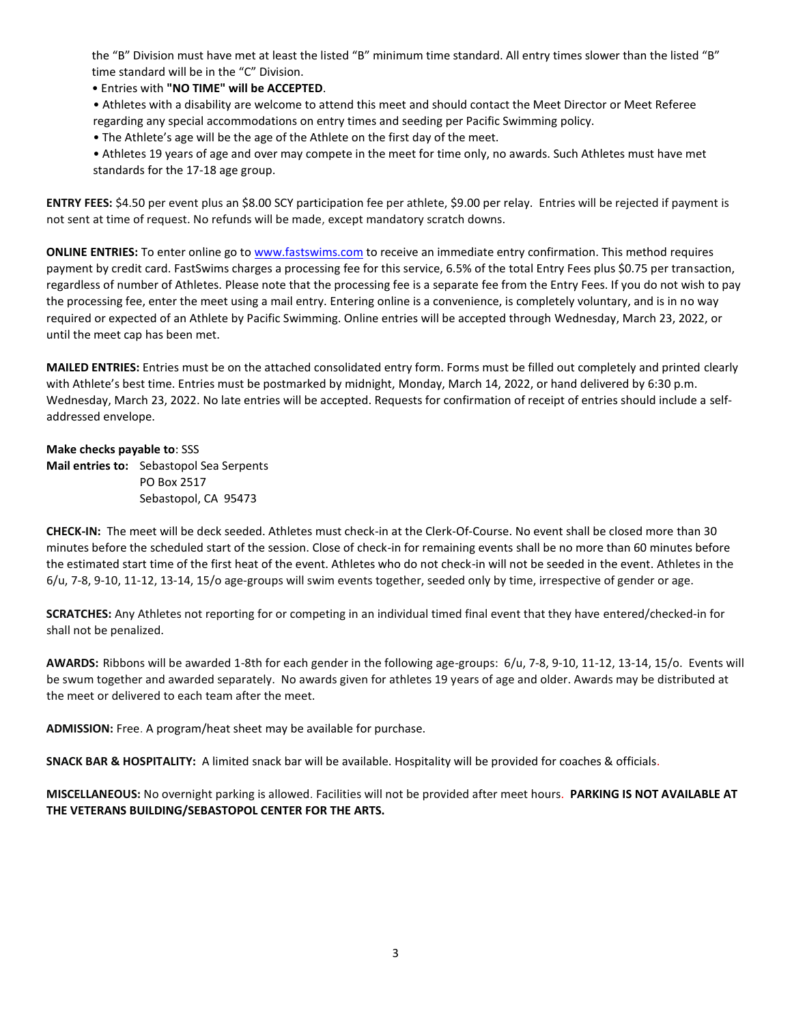the "B" Division must have met at least the listed "B" minimum time standard. All entry times slower than the listed "B" time standard will be in the "C" Division.

• Entries with **"NO TIME" will be ACCEPTED**.

• Athletes with a disability are welcome to attend this meet and should contact the Meet Director or Meet Referee regarding any special accommodations on entry times and seeding per Pacific Swimming policy.

• The Athlete's age will be the age of the Athlete on the first day of the meet.

• Athletes 19 years of age and over may compete in the meet for time only, no awards. Such Athletes must have met standards for the 17-18 age group.

**ENTRY FEES:** \$4.50 per event plus an \$8.00 SCY participation fee per athlete, \$9.00 per relay. Entries will be rejected if payment is not sent at time of request. No refunds will be made, except mandatory scratch downs.

**ONLINE ENTRIES:** To enter online go t[o www.fastswims.com](http://www.fastswims.com/) to receive an immediate entry confirmation. This method requires payment by credit card. FastSwims charges a processing fee for this service, 6.5% of the total Entry Fees plus \$0.75 per transaction, regardless of number of Athletes. Please note that the processing fee is a separate fee from the Entry Fees. If you do not wish to pay the processing fee, enter the meet using a mail entry. Entering online is a convenience, is completely voluntary, and is in no way required or expected of an Athlete by Pacific Swimming. Online entries will be accepted through Wednesday, March 23, 2022, or until the meet cap has been met.

**MAILED ENTRIES:** Entries must be on the attached consolidated entry form. Forms must be filled out completely and printed clearly with Athlete's best time. Entries must be postmarked by midnight, Monday, March 14, 2022, or hand delivered by 6:30 p.m. Wednesday, March 23, 2022. No late entries will be accepted. Requests for confirmation of receipt of entries should include a selfaddressed envelope.

**Make checks payable to**: SSS **Mail entries to:** Sebastopol Sea Serpents PO Box 2517 Sebastopol, CA 95473

**CHECK-IN:** The meet will be deck seeded. Athletes must check-in at the Clerk-Of-Course. No event shall be closed more than 30 minutes before the scheduled start of the session. Close of check-in for remaining events shall be no more than 60 minutes before the estimated start time of the first heat of the event. Athletes who do not check-in will not be seeded in the event. Athletes in the 6/u, 7-8, 9-10, 11-12, 13-14, 15/o age-groups will swim events together, seeded only by time, irrespective of gender or age.

**SCRATCHES:** Any Athletes not reporting for or competing in an individual timed final event that they have entered/checked-in for shall not be penalized.

**AWARDS:** Ribbons will be awarded 1-8th for each gender in the following age-groups: 6/u, 7-8, 9-10, 11-12, 13-14, 15/o. Events will be swum together and awarded separately. No awards given for athletes 19 years of age and older. Awards may be distributed at the meet or delivered to each team after the meet.

**ADMISSION:** Free. A program/heat sheet may be available for purchase.

**SNACK BAR & HOSPITALITY:** A limited snack bar will be available. Hospitality will be provided for coaches & officials.

**MISCELLANEOUS:** No overnight parking is allowed. Facilities will not be provided after meet hours. **PARKING IS NOT AVAILABLE AT THE VETERANS BUILDING/SEBASTOPOL CENTER FOR THE ARTS.**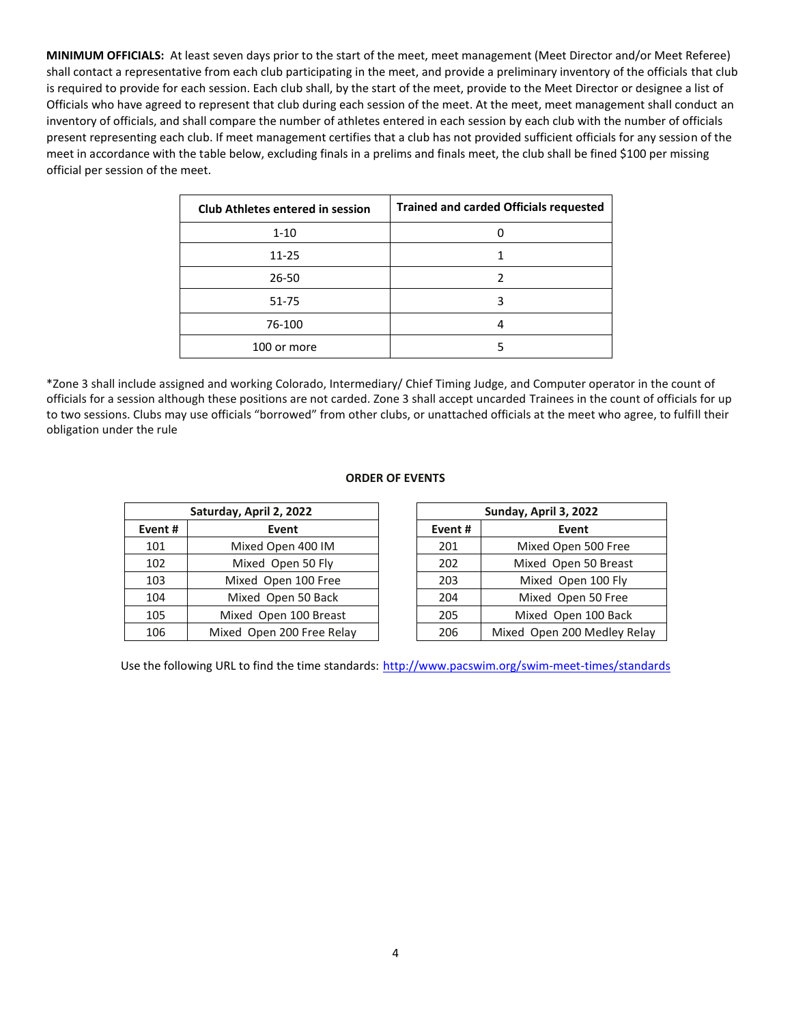**MINIMUM OFFICIALS:** At least seven days prior to the start of the meet, meet management (Meet Director and/or Meet Referee) shall contact a representative from each club participating in the meet, and provide a preliminary inventory of the officials that club is required to provide for each session. Each club shall, by the start of the meet, provide to the Meet Director or designee a list of Officials who have agreed to represent that club during each session of the meet. At the meet, meet management shall conduct an inventory of officials, and shall compare the number of athletes entered in each session by each club with the number of officials present representing each club. If meet management certifies that a club has not provided sufficient officials for any session of the meet in accordance with the table below, excluding finals in a prelims and finals meet, the club shall be fined \$100 per missing official per session of the meet.

| <b>Club Athletes entered in session</b> | <b>Trained and carded Officials requested</b> |
|-----------------------------------------|-----------------------------------------------|
| $1 - 10$                                |                                               |
| $11 - 25$                               |                                               |
| $26 - 50$                               |                                               |
| $51 - 75$                               | 3                                             |
| 76-100                                  | 4                                             |
| 100 or more                             |                                               |

\*Zone 3 shall include assigned and working Colorado, Intermediary/ Chief Timing Judge, and Computer operator in the count of officials for a session although these positions are not carded. Zone 3 shall accept uncarded Trainees in the count of officials for up to two sessions. Clubs may use officials "borrowed" from other clubs, or unattached officials at the meet who agree, to fulfill their obligation under the rule

## **ORDER OF EVENTS**

| Saturday, April 2, 2022 |                           |  | Sunday, April 3, 2022 |                             |  |  |  |
|-------------------------|---------------------------|--|-----------------------|-----------------------------|--|--|--|
| Event#                  | Event                     |  | Event#                | Event                       |  |  |  |
| 101                     | Mixed Open 400 IM         |  | 201                   | Mixed Open 500 Free         |  |  |  |
| 102                     | Mixed Open 50 Fly         |  | 202                   | Mixed Open 50 Breast        |  |  |  |
| 103                     | Mixed Open 100 Free       |  | 203                   | Mixed Open 100 Fly          |  |  |  |
| 104                     | Mixed Open 50 Back        |  | 204                   | Mixed Open 50 Free          |  |  |  |
| 105                     | Mixed Open 100 Breast     |  | 205                   | Mixed Open 100 Back         |  |  |  |
| 106                     | Mixed Open 200 Free Relay |  | 206                   | Mixed Open 200 Medley Relay |  |  |  |

Use the following URL to find the time standards: <http://www.pacswim.org/swim-meet-times/standards>